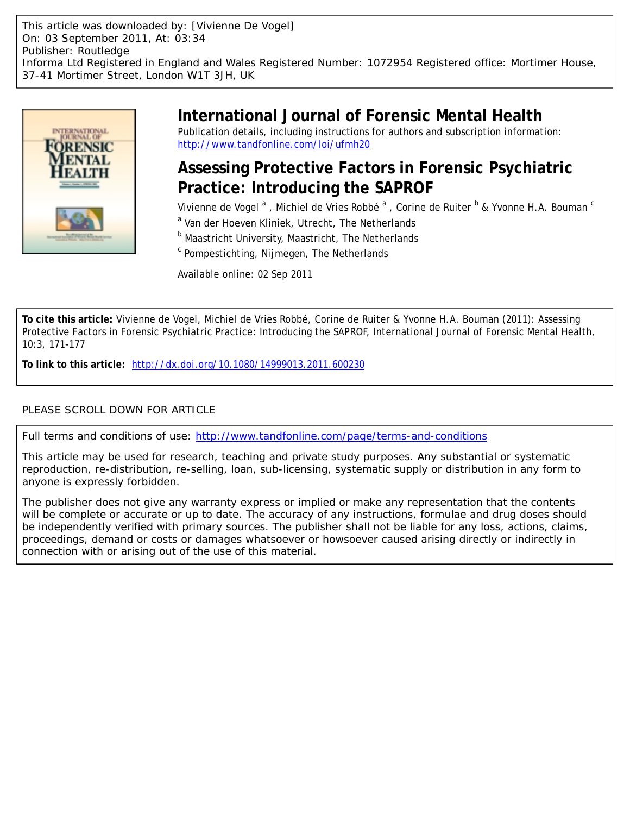This article was downloaded by: [Vivienne De Vogel] On: 03 September 2011, At: 03:34 Publisher: Routledge Informa Ltd Registered in England and Wales Registered Number: 1072954 Registered office: Mortimer House, 37-41 Mortimer Street, London W1T 3JH, UK



# **International Journal of Forensic Mental Health**

Publication details, including instructions for authors and subscription information: <http://www.tandfonline.com/loi/ufmh20>

# **Assessing Protective Factors in Forensic Psychiatric Practice: Introducing the SAPROF**

Vivienne de Vogel <sup>a</sup> , Michiel de Vries Robbé <sup>a</sup> , Corine de Ruiter <sup>b</sup> & Yvonne H.A. Bouman <sup>c</sup>

<sup>a</sup> Van der Hoeven Kliniek, Utrecht, The Netherlands

**b** Maastricht University, Maastricht, The Netherlands

<sup>c</sup> Pompestichting, Nijmegen, The Netherlands

Available online: 02 Sep 2011

**To cite this article:** Vivienne de Vogel, Michiel de Vries Robbé, Corine de Ruiter & Yvonne H.A. Bouman (2011): Assessing Protective Factors in Forensic Psychiatric Practice: Introducing the SAPROF, International Journal of Forensic Mental Health, 10:3, 171-177

**To link to this article:** <http://dx.doi.org/10.1080/14999013.2011.600230>

# PLEASE SCROLL DOWN FOR ARTICLE

Full terms and conditions of use:<http://www.tandfonline.com/page/terms-and-conditions>

This article may be used for research, teaching and private study purposes. Any substantial or systematic reproduction, re-distribution, re-selling, loan, sub-licensing, systematic supply or distribution in any form to anyone is expressly forbidden.

The publisher does not give any warranty express or implied or make any representation that the contents will be complete or accurate or up to date. The accuracy of any instructions, formulae and drug doses should be independently verified with primary sources. The publisher shall not be liable for any loss, actions, claims, proceedings, demand or costs or damages whatsoever or howsoever caused arising directly or indirectly in connection with or arising out of the use of this material.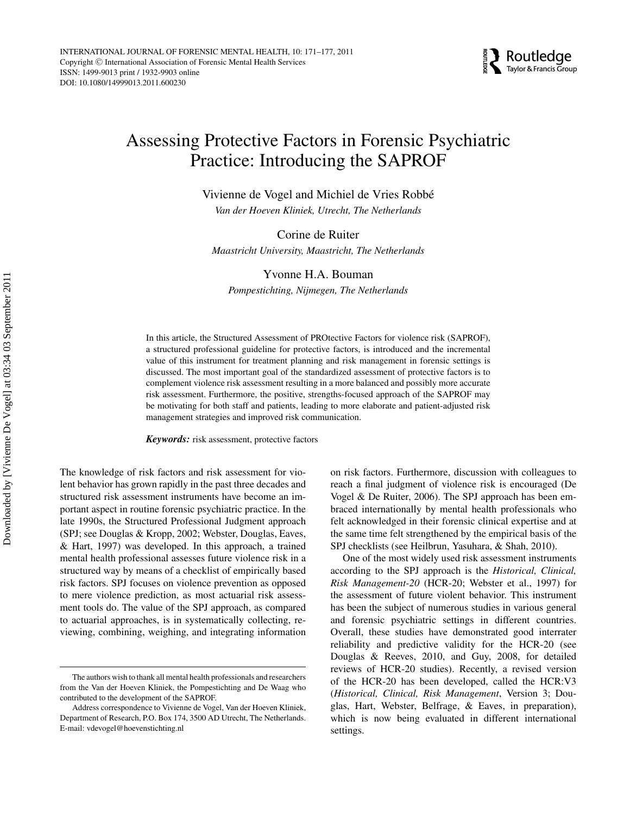INTERNATIONAL JOURNAL OF FORENSIC MENTAL HEALTH, 10: 171–177, 2011



# Assessing Protective Factors in Forensic Psychiatric Practice: Introducing the SAPROF

Vivienne de Vogel and Michiel de Vries Robbe´ *Van der Hoeven Kliniek, Utrecht, The Netherlands*

### Corine de Ruiter

*Maastricht University, Maastricht, The Netherlands*

Yvonne H.A. Bouman

*Pompestichting, Nijmegen, The Netherlands*

In this article, the Structured Assessment of PROtective Factors for violence risk (SAPROF), a structured professional guideline for protective factors, is introduced and the incremental value of this instrument for treatment planning and risk management in forensic settings is discussed. The most important goal of the standardized assessment of protective factors is to complement violence risk assessment resulting in a more balanced and possibly more accurate risk assessment. Furthermore, the positive, strengths-focused approach of the SAPROF may be motivating for both staff and patients, leading to more elaborate and patient-adjusted risk management strategies and improved risk communication.

*Keywords:* risk assessment, protective factors

The knowledge of risk factors and risk assessment for violent behavior has grown rapidly in the past three decades and structured risk assessment instruments have become an important aspect in routine forensic psychiatric practice. In the late 1990s, the Structured Professional Judgment approach (SPJ; see Douglas & Kropp, 2002; Webster, Douglas, Eaves, & Hart, 1997) was developed. In this approach, a trained mental health professional assesses future violence risk in a structured way by means of a checklist of empirically based risk factors. SPJ focuses on violence prevention as opposed to mere violence prediction, as most actuarial risk assessment tools do. The value of the SPJ approach, as compared to actuarial approaches, is in systematically collecting, reviewing, combining, weighing, and integrating information on risk factors. Furthermore, discussion with colleagues to reach a final judgment of violence risk is encouraged (De Vogel & De Ruiter, 2006). The SPJ approach has been embraced internationally by mental health professionals who felt acknowledged in their forensic clinical expertise and at the same time felt strengthened by the empirical basis of the SPJ checklists (see Heilbrun, Yasuhara, & Shah, 2010).

One of the most widely used risk assessment instruments according to the SPJ approach is the *Historical, Clinical, Risk Management-20* (HCR-20; Webster et al., 1997) for the assessment of future violent behavior. This instrument has been the subject of numerous studies in various general and forensic psychiatric settings in different countries. Overall, these studies have demonstrated good interrater reliability and predictive validity for the HCR-20 (see Douglas & Reeves, 2010, and Guy, 2008, for detailed reviews of HCR-20 studies). Recently, a revised version of the HCR-20 has been developed, called the HCR:V3 (*Historical, Clinical, Risk Management*, Version 3; Douglas, Hart, Webster, Belfrage, & Eaves, in preparation), which is now being evaluated in different international settings.

The authors wish to thank all mental health professionals and researchers from the Van der Hoeven Kliniek, the Pompestichting and De Waag who contributed to the development of the SAPROF.

Address correspondence to Vivienne de Vogel, Van der Hoeven Kliniek, Department of Research, P.O. Box 174, 3500 AD Utrecht, The Netherlands. E-mail: vdevogel@hoevenstichting.nl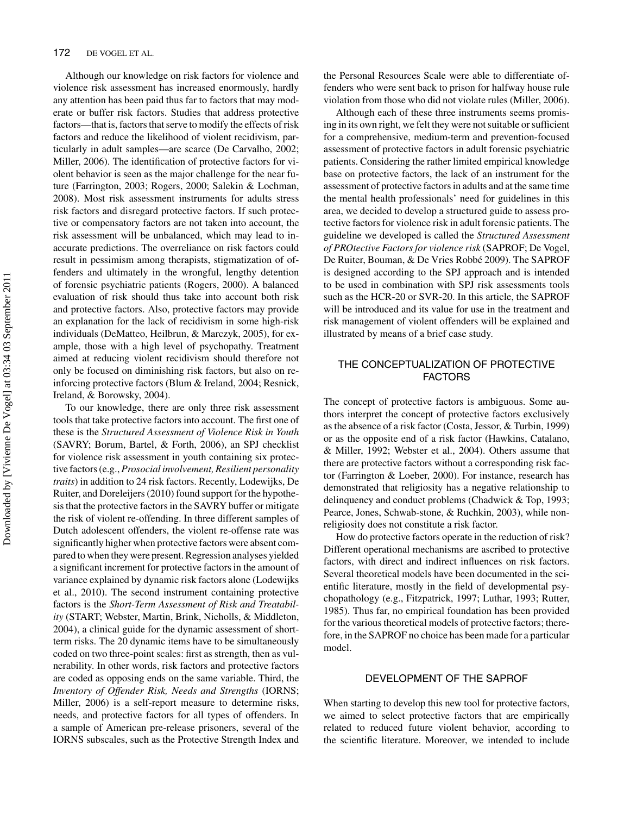Although our knowledge on risk factors for violence and violence risk assessment has increased enormously, hardly any attention has been paid thus far to factors that may moderate or buffer risk factors. Studies that address protective factors—that is, factors that serve to modify the effects of risk factors and reduce the likelihood of violent recidivism, particularly in adult samples—are scarce (De Carvalho, 2002; Miller, 2006). The identification of protective factors for violent behavior is seen as the major challenge for the near future (Farrington, 2003; Rogers, 2000; Salekin & Lochman, 2008). Most risk assessment instruments for adults stress risk factors and disregard protective factors. If such protective or compensatory factors are not taken into account, the risk assessment will be unbalanced, which may lead to inaccurate predictions. The overreliance on risk factors could result in pessimism among therapists, stigmatization of offenders and ultimately in the wrongful, lengthy detention of forensic psychiatric patients (Rogers, 2000). A balanced evaluation of risk should thus take into account both risk and protective factors. Also, protective factors may provide an explanation for the lack of recidivism in some high-risk individuals (DeMatteo, Heilbrun, & Marczyk, 2005), for example, those with a high level of psychopathy. Treatment aimed at reducing violent recidivism should therefore not only be focused on diminishing risk factors, but also on reinforcing protective factors (Blum & Ireland, 2004; Resnick, Ireland, & Borowsky, 2004).

To our knowledge, there are only three risk assessment tools that take protective factors into account. The first one of these is the *Structured Assessment of Violence Risk in Youth* (SAVRY; Borum, Bartel, & Forth, 2006), an SPJ checklist for violence risk assessment in youth containing six protective factors (e.g., *Prosocial involvement, Resilient personality traits*) in addition to 24 risk factors. Recently, Lodewijks, De Ruiter, and Doreleijers (2010) found support for the hypothesis that the protective factors in the SAVRY buffer or mitigate the risk of violent re-offending. In three different samples of Dutch adolescent offenders, the violent re-offense rate was significantly higher when protective factors were absent compared to when they were present. Regression analyses yielded a significant increment for protective factors in the amount of variance explained by dynamic risk factors alone (Lodewijks et al., 2010). The second instrument containing protective factors is the *Short-Term Assessment of Risk and Treatability* (START; Webster, Martin, Brink, Nicholls, & Middleton, 2004), a clinical guide for the dynamic assessment of shortterm risks. The 20 dynamic items have to be simultaneously coded on two three-point scales: first as strength, then as vulnerability. In other words, risk factors and protective factors are coded as opposing ends on the same variable. Third, the *Inventory of Offender Risk, Needs and Strengths* (IORNS; Miller, 2006) is a self-report measure to determine risks, needs, and protective factors for all types of offenders. In a sample of American pre-release prisoners, several of the IORNS subscales, such as the Protective Strength Index and the Personal Resources Scale were able to differentiate offenders who were sent back to prison for halfway house rule violation from those who did not violate rules (Miller, 2006).

Although each of these three instruments seems promising in its own right, we felt they were not suitable or sufficient for a comprehensive, medium-term and prevention-focused assessment of protective factors in adult forensic psychiatric patients. Considering the rather limited empirical knowledge base on protective factors, the lack of an instrument for the assessment of protective factors in adults and at the same time the mental health professionals' need for guidelines in this area, we decided to develop a structured guide to assess protective factors for violence risk in adult forensic patients. The guideline we developed is called the *Structured Assessment of PROtective Factors for violence risk* (SAPROF; De Vogel, De Ruiter, Bouman, & De Vries Robbé 2009). The SAPROF is designed according to the SPJ approach and is intended to be used in combination with SPJ risk assessments tools such as the HCR-20 or SVR-20. In this article, the SAPROF will be introduced and its value for use in the treatment and risk management of violent offenders will be explained and illustrated by means of a brief case study.

## THE CONCEPTUALIZATION OF PROTECTIVE FACTORS

The concept of protective factors is ambiguous. Some authors interpret the concept of protective factors exclusively as the absence of a risk factor (Costa, Jessor, & Turbin, 1999) or as the opposite end of a risk factor (Hawkins, Catalano, & Miller, 1992; Webster et al., 2004). Others assume that there are protective factors without a corresponding risk factor (Farrington & Loeber, 2000). For instance, research has demonstrated that religiosity has a negative relationship to delinquency and conduct problems (Chadwick & Top, 1993; Pearce, Jones, Schwab-stone, & Ruchkin, 2003), while nonreligiosity does not constitute a risk factor.

How do protective factors operate in the reduction of risk? Different operational mechanisms are ascribed to protective factors, with direct and indirect influences on risk factors. Several theoretical models have been documented in the scientific literature, mostly in the field of developmental psychopathology (e.g., Fitzpatrick, 1997; Luthar, 1993; Rutter, 1985). Thus far, no empirical foundation has been provided for the various theoretical models of protective factors; therefore, in the SAPROF no choice has been made for a particular model.

#### DEVELOPMENT OF THE SAPROF

When starting to develop this new tool for protective factors, we aimed to select protective factors that are empirically related to reduced future violent behavior, according to the scientific literature. Moreover, we intended to include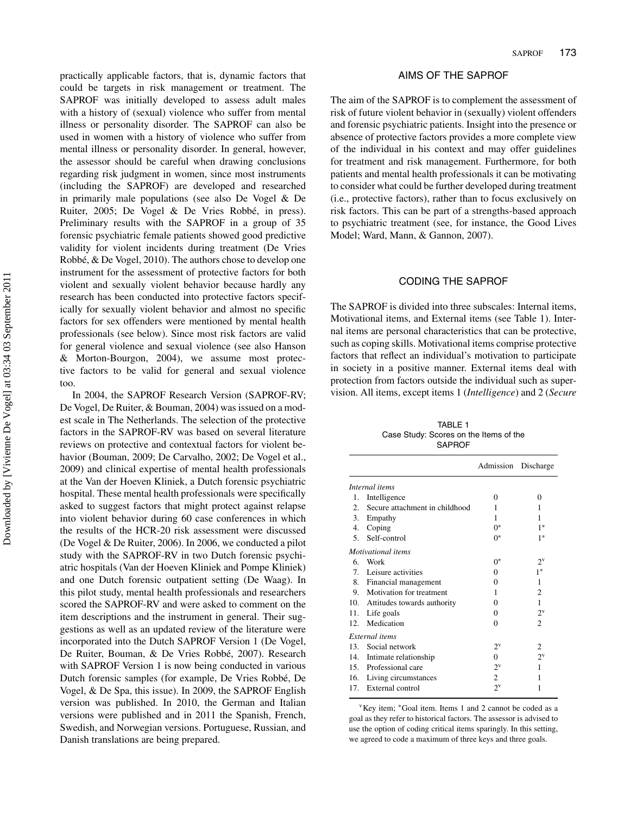practically applicable factors, that is, dynamic factors that could be targets in risk management or treatment. The SAPROF was initially developed to assess adult males with a history of (sexual) violence who suffer from mental illness or personality disorder. The SAPROF can also be used in women with a history of violence who suffer from mental illness or personality disorder. In general, however, the assessor should be careful when drawing conclusions regarding risk judgment in women, since most instruments (including the SAPROF) are developed and researched in primarily male populations (see also De Vogel & De Ruiter, 2005; De Vogel & De Vries Robbé, in press). Preliminary results with the SAPROF in a group of 35 forensic psychiatric female patients showed good predictive validity for violent incidents during treatment (De Vries Robbé, & De Vogel, 2010). The authors chose to develop one instrument for the assessment of protective factors for both violent and sexually violent behavior because hardly any research has been conducted into protective factors specifically for sexually violent behavior and almost no specific factors for sex offenders were mentioned by mental health professionals (see below). Since most risk factors are valid for general violence and sexual violence (see also Hanson & Morton-Bourgon, 2004), we assume most protective factors to be valid for general and sexual violence too.

In 2004, the SAPROF Research Version (SAPROF-RV; De Vogel, De Ruiter, & Bouman, 2004) was issued on a modest scale in The Netherlands. The selection of the protective factors in the SAPROF-RV was based on several literature reviews on protective and contextual factors for violent behavior (Bouman, 2009; De Carvalho, 2002; De Vogel et al., 2009) and clinical expertise of mental health professionals at the Van der Hoeven Kliniek, a Dutch forensic psychiatric hospital. These mental health professionals were specifically asked to suggest factors that might protect against relapse into violent behavior during 60 case conferences in which the results of the HCR-20 risk assessment were discussed (De Vogel & De Ruiter, 2006). In 2006, we conducted a pilot study with the SAPROF-RV in two Dutch forensic psychiatric hospitals (Van der Hoeven Kliniek and Pompe Kliniek) and one Dutch forensic outpatient setting (De Waag). In this pilot study, mental health professionals and researchers scored the SAPROF-RV and were asked to comment on the item descriptions and the instrument in general. Their suggestions as well as an updated review of the literature were incorporated into the Dutch SAPROF Version 1 (De Vogel, De Ruiter, Bouman, & De Vries Robbé, 2007). Research with SAPROF Version 1 is now being conducted in various Dutch forensic samples (for example, De Vries Robbe, De ´ Vogel, & De Spa, this issue). In 2009, the SAPROF English version was published. In 2010, the German and Italian versions were published and in 2011 the Spanish, French, Swedish, and Norwegian versions. Portuguese, Russian, and Danish translations are being prepared.

### AIMS OF THE SAPROF

The aim of the SAPROF is to complement the assessment of risk of future violent behavior in (sexually) violent offenders and forensic psychiatric patients. Insight into the presence or absence of protective factors provides a more complete view of the individual in his context and may offer guidelines for treatment and risk management. Furthermore, for both patients and mental health professionals it can be motivating to consider what could be further developed during treatment (i.e., protective factors), rather than to focus exclusively on risk factors. This can be part of a strengths-based approach to psychiatric treatment (see, for instance, the Good Lives Model; Ward, Mann, & Gannon, 2007).

#### CODING THE SAPROF

The SAPROF is divided into three subscales: Internal items, Motivational items, and External items (see Table 1). Internal items are personal characteristics that can be protective, such as coping skills. Motivational items comprise protective factors that reflect an individual's motivation to participate in society in a positive manner. External items deal with protection from factors outside the individual such as supervision. All items, except items 1 (*Intelligence*) and 2 (*Secure*

TABLE 1 Case Study: Scores on the Items of the SAPROF

|                    |                                 | Admission      | Discharge      |  |
|--------------------|---------------------------------|----------------|----------------|--|
| Internal items     |                                 |                |                |  |
| 1.                 | Intelligence                    | 0              | $\Omega$       |  |
| $\overline{2}$ .   | Secure attachment in childhood  | 1              | 1              |  |
| 3.                 | Empathy                         | 1              | 1              |  |
| 4.                 | Coping                          | 0*             | $1*$           |  |
| 5.                 | Self-control                    | $0^*$          | $1*$           |  |
| Motivational items |                                 |                |                |  |
|                    | 6. Work                         | 0*             | $2^{\nu}$      |  |
| 7.                 | Leisure activities              | 0              | $1*$           |  |
|                    | 8. Financial management         | 0              | 1              |  |
|                    | 9. Motivation for treatment     | 1              | $\mathfrak{D}$ |  |
|                    | 10. Attitudes towards authority | 0              | 1              |  |
| 11.                | Life goals                      | $\mathbf{0}$   | $2^{\nu}$      |  |
| 12 <sub>1</sub>    | Medication                      | $\mathbf{0}$   | 2              |  |
| External items     |                                 |                |                |  |
|                    | 13. Social network              | $2^{\nu}$      | 2              |  |
| 14.                | Intimate relationship           | 0              | $2^{\nu}$      |  |
|                    | 15. Professional care           | $2^{\nu}$      | 1              |  |
|                    | 16. Living circumstances        | $\overline{c}$ | 1              |  |
| 17.                | External control                | $2^{\nu}$      | 1              |  |
|                    |                                 |                |                |  |

vKey item; <sup>∗</sup>Goal item. Items 1 and 2 cannot be coded as a goal as they refer to historical factors. The assessor is advised to use the option of coding critical items sparingly. In this setting, we agreed to code a maximum of three keys and three goals.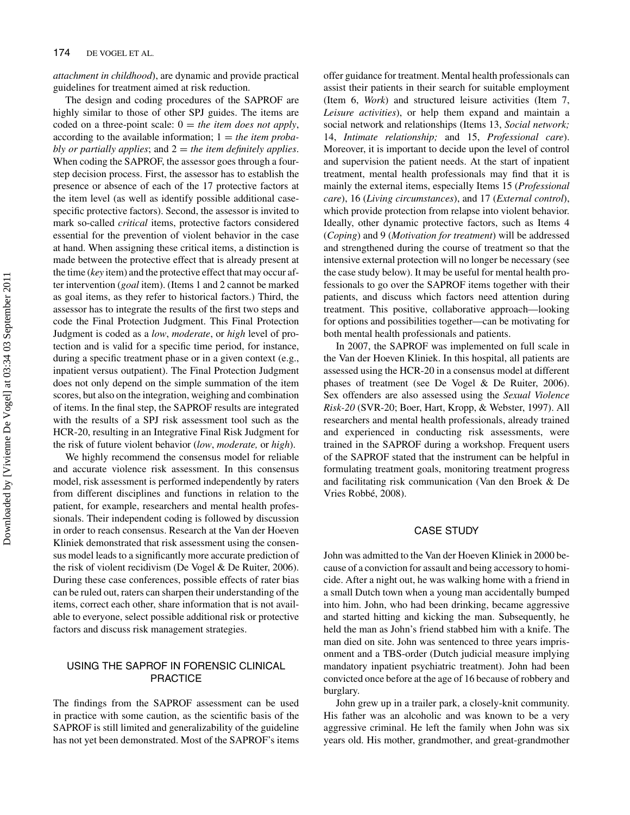*attachment in childhood*), are dynamic and provide practical guidelines for treatment aimed at risk reduction.

The design and coding procedures of the SAPROF are highly similar to those of other SPJ guides. The items are coded on a three-point scale:  $0 =$  *the item does not apply*, according to the available information; 1 = *the item probably or partially applies*; and 2 = *the item definitely applies*. When coding the SAPROF, the assessor goes through a fourstep decision process. First, the assessor has to establish the presence or absence of each of the 17 protective factors at the item level (as well as identify possible additional casespecific protective factors). Second, the assessor is invited to mark so-called *critical* items, protective factors considered essential for the prevention of violent behavior in the case at hand. When assigning these critical items, a distinction is made between the protective effect that is already present at the time (*key* item) and the protective effect that may occur after intervention (*goal* item). (Items 1 and 2 cannot be marked as goal items, as they refer to historical factors.) Third, the assessor has to integrate the results of the first two steps and code the Final Protection Judgment. This Final Protection Judgment is coded as a *low*, *moderate*, or *high* level of protection and is valid for a specific time period, for instance, during a specific treatment phase or in a given context (e.g., inpatient versus outpatient). The Final Protection Judgment does not only depend on the simple summation of the item scores, but also on the integration, weighing and combination of items. In the final step, the SAPROF results are integrated with the results of a SPJ risk assessment tool such as the HCR-20, resulting in an Integrative Final Risk Judgment for the risk of future violent behavior (*low*, *moderate,* or *high*).

We highly recommend the consensus model for reliable and accurate violence risk assessment. In this consensus model, risk assessment is performed independently by raters from different disciplines and functions in relation to the patient, for example, researchers and mental health professionals. Their independent coding is followed by discussion in order to reach consensus. Research at the Van der Hoeven Kliniek demonstrated that risk assessment using the consensus model leads to a significantly more accurate prediction of the risk of violent recidivism (De Vogel & De Ruiter, 2006). During these case conferences, possible effects of rater bias can be ruled out, raters can sharpen their understanding of the items, correct each other, share information that is not available to everyone, select possible additional risk or protective factors and discuss risk management strategies.

### USING THE SAPROF IN FORENSIC CLINICAL PRACTICE

The findings from the SAPROF assessment can be used in practice with some caution, as the scientific basis of the SAPROF is still limited and generalizability of the guideline has not yet been demonstrated. Most of the SAPROF's items offer guidance for treatment. Mental health professionals can assist their patients in their search for suitable employment (Item 6, *Work*) and structured leisure activities (Item 7, *Leisure activities*), or help them expand and maintain a social network and relationships (Items 13, *Social network;* 14, *Intimate relationship;* and 15, *Professional care*). Moreover, it is important to decide upon the level of control and supervision the patient needs. At the start of inpatient treatment, mental health professionals may find that it is mainly the external items, especially Items 15 (*Professional care*), 16 (*Living circumstances*), and 17 (*External control*), which provide protection from relapse into violent behavior. Ideally, other dynamic protective factors, such as Items 4 (*Coping*) and 9 (*Motivation for treatment*) will be addressed and strengthened during the course of treatment so that the intensive external protection will no longer be necessary (see the case study below). It may be useful for mental health professionals to go over the SAPROF items together with their patients, and discuss which factors need attention during treatment. This positive, collaborative approach—looking for options and possibilities together—can be motivating for both mental health professionals and patients.

In 2007, the SAPROF was implemented on full scale in the Van der Hoeven Kliniek. In this hospital, all patients are assessed using the HCR-20 in a consensus model at different phases of treatment (see De Vogel & De Ruiter, 2006). Sex offenders are also assessed using the *Sexual Violence Risk-20* (SVR-20; Boer, Hart, Kropp, & Webster, 1997). All researchers and mental health professionals, already trained and experienced in conducting risk assessments, were trained in the SAPROF during a workshop. Frequent users of the SAPROF stated that the instrument can be helpful in formulating treatment goals, monitoring treatment progress and facilitating risk communication (Van den Broek & De Vries Robbé, 2008).

#### CASE STUDY

John was admitted to the Van der Hoeven Kliniek in 2000 because of a conviction for assault and being accessory to homicide. After a night out, he was walking home with a friend in a small Dutch town when a young man accidentally bumped into him. John, who had been drinking, became aggressive and started hitting and kicking the man. Subsequently, he held the man as John's friend stabbed him with a knife. The man died on site. John was sentenced to three years imprisonment and a TBS-order (Dutch judicial measure implying mandatory inpatient psychiatric treatment). John had been convicted once before at the age of 16 because of robbery and burglary.

John grew up in a trailer park, a closely-knit community. His father was an alcoholic and was known to be a very aggressive criminal. He left the family when John was six years old. His mother, grandmother, and great-grandmother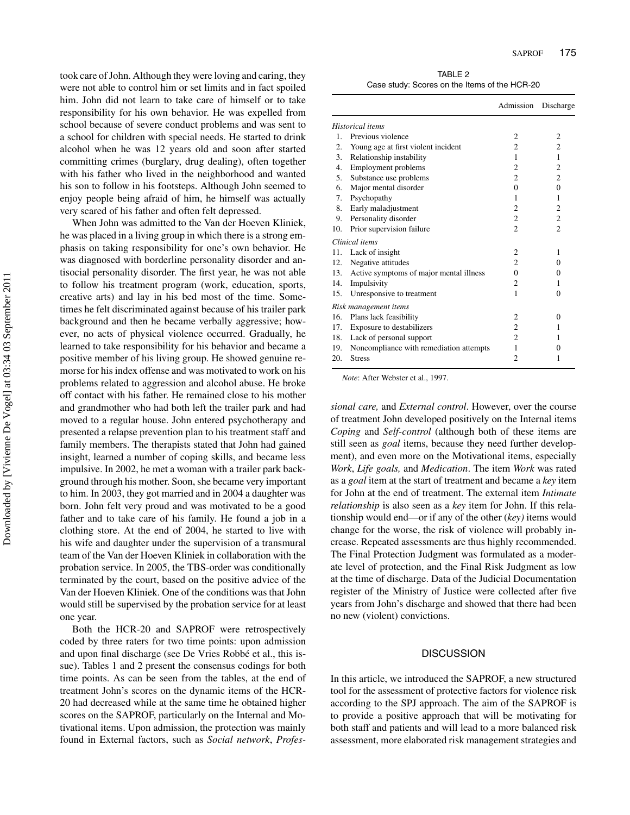took care of John. Although they were loving and caring, they were not able to control him or set limits and in fact spoiled him. John did not learn to take care of himself or to take responsibility for his own behavior. He was expelled from school because of severe conduct problems and was sent to a school for children with special needs. He started to drink alcohol when he was 12 years old and soon after started committing crimes (burglary, drug dealing), often together with his father who lived in the neighborhood and wanted his son to follow in his footsteps. Although John seemed to enjoy people being afraid of him, he himself was actually very scared of his father and often felt depressed.

When John was admitted to the Van der Hoeven Kliniek, he was placed in a living group in which there is a strong emphasis on taking responsibility for one's own behavior. He was diagnosed with borderline personality disorder and antisocial personality disorder. The first year, he was not able to follow his treatment program (work, education, sports, creative arts) and lay in his bed most of the time. Sometimes he felt discriminated against because of his trailer park background and then he became verbally aggressive; however, no acts of physical violence occurred. Gradually, he learned to take responsibility for his behavior and became a positive member of his living group. He showed genuine remorse for his index offense and was motivated to work on his problems related to aggression and alcohol abuse. He broke off contact with his father. He remained close to his mother and grandmother who had both left the trailer park and had moved to a regular house. John entered psychotherapy and presented a relapse prevention plan to his treatment staff and family members. The therapists stated that John had gained insight, learned a number of coping skills, and became less impulsive. In 2002, he met a woman with a trailer park background through his mother. Soon, she became very important to him. In 2003, they got married and in 2004 a daughter was born. John felt very proud and was motivated to be a good father and to take care of his family. He found a job in a clothing store. At the end of 2004, he started to live with his wife and daughter under the supervision of a transmural team of the Van der Hoeven Kliniek in collaboration with the probation service. In 2005, the TBS-order was conditionally terminated by the court, based on the positive advice of the Van der Hoeven Kliniek. One of the conditions was that John would still be supervised by the probation service for at least one year.

Both the HCR-20 and SAPROF were retrospectively coded by three raters for two time points: upon admission and upon final discharge (see De Vries Robbé et al., this issue). Tables 1 and 2 present the consensus codings for both time points. As can be seen from the tables, at the end of treatment John's scores on the dynamic items of the HCR-20 had decreased while at the same time he obtained higher scores on the SAPROF, particularly on the Internal and Motivational items. Upon admission, the protection was mainly found in External factors, such as *Social network*, *Profes-*

TABLE 2 Case study: Scores on the Items of the HCR-20

|                  |                                         | Admission Discharge |                |
|------------------|-----------------------------------------|---------------------|----------------|
|                  | Historical items                        |                     |                |
| $\mathbf{1}$ .   | Previous violence                       | 2                   | 2              |
| $\overline{2}$ . | Young age at first violent incident     | $\overline{c}$      | $\overline{2}$ |
| 3.               | Relationship instability                | 1                   | 1              |
| 4.               | Employment problems                     | $\overline{c}$      | $\overline{2}$ |
| 5.               | Substance use problems                  | $\overline{c}$      | $\overline{c}$ |
| 6.               | Major mental disorder                   | $\theta$            | $\Omega$       |
| 7.               | Psychopathy                             | 1                   | 1              |
| 8.               | Early maladjustment                     | 2                   | $\overline{c}$ |
| 9.               | Personality disorder                    | 2                   | 2              |
| 10.              | Prior supervision failure               | $\overline{c}$      | $\overline{c}$ |
|                  | Clinical items                          |                     |                |
| 11.              | Lack of insight                         | 2                   | 1              |
| 12.              | Negative attitudes                      | 2                   | $\Omega$       |
| 13.              | Active symptoms of major mental illness | $\Omega$            | 0              |
| 14.              | Impulsivity                             | 2                   | 1              |
| 15.              | Unresponsive to treatment               | 1                   | $\Omega$       |
|                  | Risk management items                   |                     |                |
| 16.              | Plans lack feasibility                  | 2                   | $\Omega$       |
| 17.              | Exposure to destabilizers               | $\overline{c}$      | 1              |
| 18.              | Lack of personal support                | 2                   | 1              |
| 19.              | Noncompliance with remediation attempts | 1                   | 0              |
| 20.              | <b>Stress</b>                           | $\overline{c}$      | 1              |

*Note*: After Webster et al., 1997.

*sional care,* and *External control*. However, over the course of treatment John developed positively on the Internal items *Coping* and *Self-control* (although both of these items are still seen as *goal* items, because they need further development), and even more on the Motivational items, especially *Work*, *Life goals,* and *Medication*. The item *Work* was rated as a *goal* item at the start of treatment and became a *key* item for John at the end of treatment. The external item *Intimate relationship* is also seen as a *key* item for John. If this relationship would end—or if any of the other (*key)* items would change for the worse, the risk of violence will probably increase. Repeated assessments are thus highly recommended. The Final Protection Judgment was formulated as a moderate level of protection, and the Final Risk Judgment as low at the time of discharge. Data of the Judicial Documentation register of the Ministry of Justice were collected after five years from John's discharge and showed that there had been no new (violent) convictions.

#### **DISCUSSION**

In this article, we introduced the SAPROF, a new structured tool for the assessment of protective factors for violence risk according to the SPJ approach. The aim of the SAPROF is to provide a positive approach that will be motivating for both staff and patients and will lead to a more balanced risk assessment, more elaborated risk management strategies and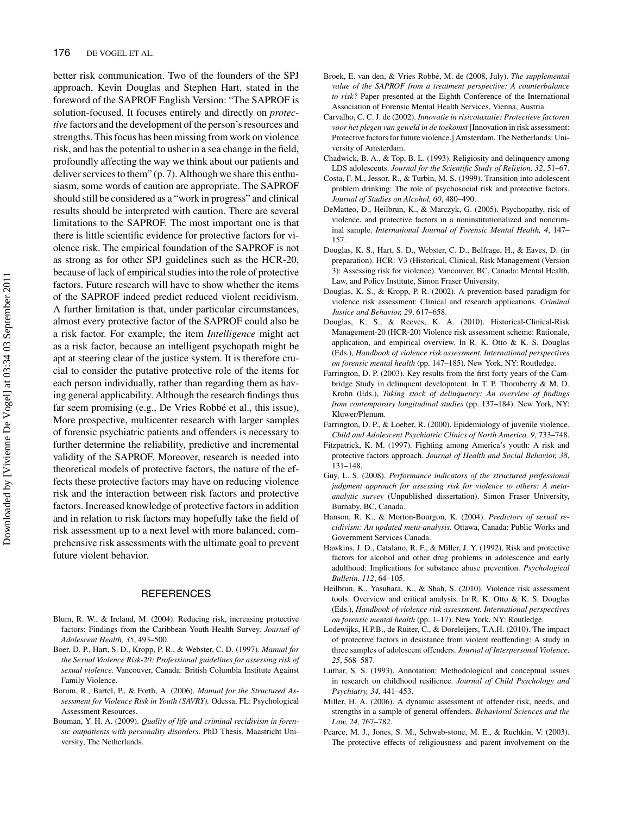better risk communication. Two of the founders of the SPJ approach, Kevin Douglas and Stephen Hart, stated in the foreword of the SAPROF English Version: "The SAPROF is solution-focused. It focuses entirely and directly on *protective* factors and the development of the person's resources and strengths. This focus has been missing from work on violence risk, and has the potential to usher in a sea change in the field, profoundly affecting the way we think about our patients and deliver services to them" (p. 7). Although we share this enthusiasm, some words of caution are appropriate. The SAPROF should still be considered as a "work in progress" and clinical results should be interpreted with caution. There are several limitations to the SAPROF. The most important one is that there is little scientific evidence for protective factors for violence risk. The empirical foundation of the SAPROF is not as strong as for other SPJ guidelines such as the HCR-20, because of lack of empirical studies into the role of protective factors. Future research will have to show whether the items of the SAPROF indeed predict reduced violent recidivism. A further limitation is that, under particular circumstances, almost every protective factor of the SAPROF could also be a risk factor. For example, the item *Intelligence* might act as a risk factor, because an intelligent psychopath might be apt at steering clear of the justice system. It is therefore crucial to consider the putative protective role of the items for each person individually, rather than regarding them as having general applicability. Although the research findings thus far seem promising (e.g., De Vries Robbé et al., this issue), More prospective, multicenter research with larger samples of forensic psychiatric patients and offenders is necessary to further determine the reliability, predictive and incremental validity of the SAPROF. Moreover, research is needed into theoretical models of protective factors, the nature of the effects these protective factors may have on reducing violence risk and the interaction between risk factors and protective factors. Increased knowledge of protective factors in addition and in relation to risk factors may hopefully take the field of risk assessment up to a next level with more balanced, comprehensive risk assessments with the ultimate goal to prevent future violent behavior.

### **REFERENCES**

- Blum, R. W., & Ireland, M. (2004). Reducing risk, increasing protective factors: Findings from the Caribbean Youth Health Survey. *Journal of Adolescent Health, 35*, 493–500.
- Boer, D. P., Hart, S. D., Kropp, P. R., & Webster, C. D. (1997). *Manual for the Sexual Violence Risk-20: Professional guidelines for assessing risk of sexual violence.* Vancouver, Canada: British Columbia Institute Against Family Violence.
- Borum, R., Bartel, P., & Forth, A. (2006). *Manual for the Structured Assessment for Violence Risk in Youth (SAVRY).* Odessa, FL: Psychological Assessment Resources.
- Bouman, Y. H. A. (2009). *Quality of life and criminal recidivism in forensic outpatients with personality disorders*. PhD Thesis. Maastricht University, The Netherlands.
- Broek, E. van den, & Vries Robbé, M. de (2008, July). *The supplemental value of the SAPROF from a treatment perspective: A counterbalance to risk?* Paper presented at the Eighth Conference of the International Association of Forensic Mental Health Services, Vienna, Austria.
- Carvalho, C. C. J. de (2002). *Innovatie in risicotaxatie: Protectieve factoren voor het plegen van geweld in de toekomst* [Innovation in risk assessment: Protective factors for future violence.] Amsterdam, The Netherlands: University of Amsterdam.
- Chadwick, B. A., & Top, B. L. (1993). Religiosity and delinquency among LDS adolescents. *Journal for the Scientific Study of Religion, 32*, 51–67.
- Costa, F. M., Jessor, R., & Turbin, M. S. (1999). Transition into adolescent problem drinking: The role of psychosocial risk and protective factors. *Journal of Studies on Alcohol, 60*, 480–490.
- DeMatteo, D., Heilbrun, K., & Marczyk, G. (2005). Psychopathy, risk of violence, and protective factors in a noninstitutionalized and noncriminal sample. *International Journal of Forensic Mental Health, 4*, 147– 157.
- Douglas, K. S., Hart, S. D., Webster, C. D., Belfrage, H., & Eaves, D. (in preparation). HCR: V3 (Historical, Clinical, Risk Management (Version 3): Assessing risk for violence). Vancouver, BC, Canada: Mental Health, Law, and Policy Institute, Simon Fraser University.
- Douglas, K. S., & Kropp, P. R. (2002). A prevention-based paradigm for violence risk assessment: Clinical and research applications. *Criminal Justice and Behavior, 29*, 617–658.
- Douglas, K. S., & Reeves, K. A. (2010). Historical-Clinical-Risk Management-20 (HCR-20) Violence risk assessment scheme: Rationale, application, and empirical overview. In R. K. Otto & K. S. Douglas (Eds.), *Handbook of violence risk assessment. International perspectives on forensic mental health* (pp. 147–185). New York, NY: Routledge.
- Farrington, D. P. (2003). Key results from the first forty years of the Cambridge Study in delinquent development. In T. P. Thornberry & M. D. Krohn (Eds.), *Taking stock of delinquency: An overview of findings from contemporary longitudinal studies* (pp. 137–184). New York, NY: Kluwer/Plenum.
- Farrington, D. P., & Loeber, R. (2000). Epidemiology of juvenile violence. *Child and Adolescent Psychiatric Clinics of North America, 9*, 733–748.
- Fitzpatrick, K. M. (1997). Fighting among America's youth: A risk and protective factors approach. *Journal of Health and Social Behavior, 38*, 131–148.
- Guy, L. S. (2008). *Performance indicators of the structured professional judgment approach for assessing risk for violence to others: A metaanalytic survey* (Unpublished dissertation). Simon Fraser University, Burnaby, BC, Canada.
- Hanson, R. K., & Morton-Bourgon, K. (2004). *Predictors of sexual recidivism: An updated meta-analysis.* Ottawa, Canada: Public Works and Government Services Canada.
- Hawkins, J. D., Catalano, R. F., & Miller, J. Y. (1992). Risk and protective factors for alcohol and other drug problems in adolescence and early adulthood: Implications for substance abuse prevention. *Psychological Bulletin, 112*, 64–105.
- Heilbrun, K., Yasuhara, K., & Shah, S. (2010). Violence risk assessment tools: Overview and critical analysis. In R. K. Otto & K. S. Douglas (Eds.), *Handbook of violence risk assessment. International perspectives on forensic mental health* (pp. 1–17). New York, NY: Routledge.
- Lodewijks, H.P.B., de Ruiter, C., & Doreleijers, T.A.H. (2010). The impact of protective factors in desistance from violent reoffending: A study in three samples of adolescent offenders. *Journal of Interpersonal Violence, 25*, 568–587.
- Luthar, S. S. (1993). Annotation: Methodological and conceptual issues in research on childhood resilience. *Journal of Child Psychology and Psychiatry, 34,* 441–453.
- Miller, H. A. (2006). A dynamic assessment of offender risk, needs, and strengths in a sample of general offenders. *Behavioral Sciences and the Law, 24,* 767–782.
- Pearce, M. J., Jones, S. M., Schwab-stone, M. E., & Ruchkin, V. (2003). The protective effects of religiousness and parent involvement on the